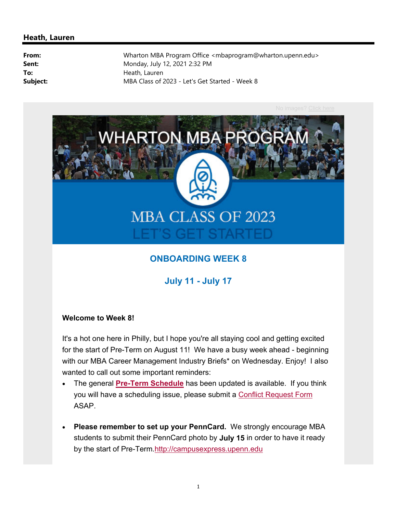

### **ONBOARDING WEEK 8**

**July 11 - July 17**

#### **Welcome to Week 8!**

It's a hot one here in Philly, but I hope you're all staying cool and getting excited for the start of Pre-Term on August 11! We have a busy week ahead - beginning with our MBA Career Management Industry Briefs\* on Wednesday. Enjoy! I also wanted to call out some important reminders:

- The general **Pre-Term Schedule** has been updated is available. If you think you will have a scheduling issue, please submit a Conflict Request Form ASAP.
- **Please remember to set up your PennCard.** We strongly encourage MBA students to submit their PennCard photo by **July 15** in order to have it ready by the start of Pre-Term.http://campusexpress.upenn.edu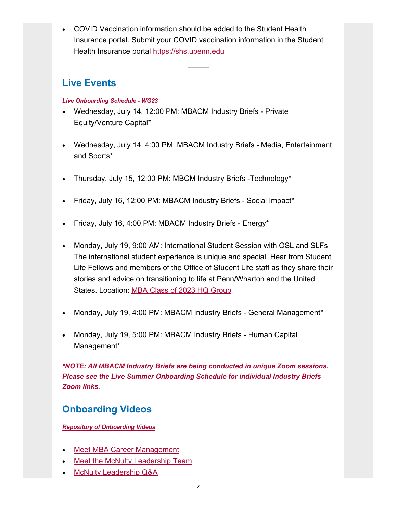COVID Vaccination information should be added to the Student Health Insurance portal. Submit your COVID vaccination information in the Student Health Insurance portal https://shs.upenn.edu

### **Live Events**

### *Live Onboarding Schedule - WG23*

- Wednesday, July 14, 12:00 PM: MBACM Industry Briefs Private Equity/Venture Capital\*
- Wednesday, July 14, 4:00 PM: MBACM Industry Briefs Media, Entertainment and Sports\*
- Thursday, July 15, 12:00 PM: MBCM Industry Briefs -Technology\*
- Friday, July 16, 12:00 PM: MBACM Industry Briefs Social Impact\*
- Friday, July 16, 4:00 PM: MBACM Industry Briefs Energy\*
- Monday, July 19, 9:00 AM: International Student Session with OSL and SLFs The international student experience is unique and special. Hear from Student Life Fellows and members of the Office of Student Life staff as they share their stories and advice on transitioning to life at Penn/Wharton and the United States. Location: MBA Class of 2023 HQ Group
- Monday, July 19, 4:00 PM: MBACM Industry Briefs General Management\*
- Monday, July 19, 5:00 PM: MBACM Industry Briefs Human Capital Management\*

*\*NOTE: All MBACM Industry Briefs are being conducted in unique Zoom sessions. Please see the Live Summer Onboarding Schedule for individual Industry Briefs Zoom links.* 

## **Onboarding Videos**

*Repository of Onboarding Videos*

- Meet MBA Career Management
- Meet the McNulty Leadership Team
- McNulty Leadership Q&A